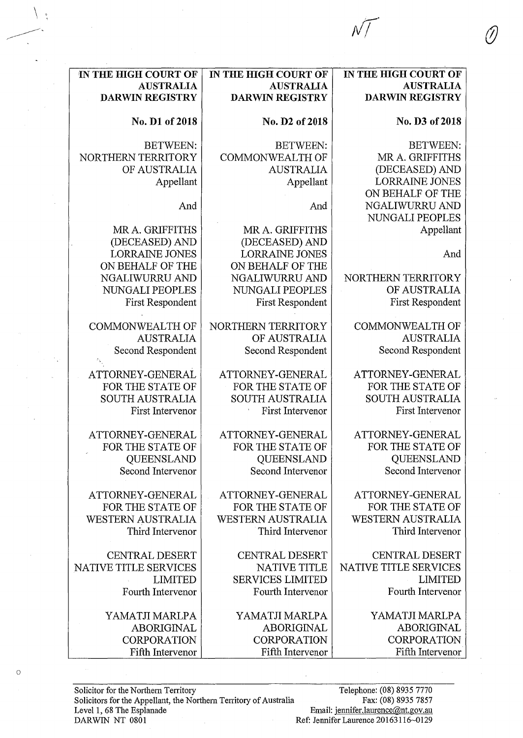| IN THE HIGH COURT OF      | IN THE HIGH COURT OF     | IN THE HIGH COURT OF     |
|---------------------------|--------------------------|--------------------------|
| <b>AUSTRALIA</b>          | <b>AUSTRALIA</b>         | <b>AUSTRALIA</b>         |
| <b>DARWIN REGISTRY</b>    | <b>DARWIN REGISTRY</b>   | <b>DARWIN REGISTRY</b>   |
| No. D1 of 2018            | No. D2 of 2018           | No. D3 of 2018           |
| <b>BETWEEN:</b>           | <b>BETWEEN:</b>          | <b>BETWEEN:</b>          |
| <b>NORTHERN TERRITORY</b> | <b>COMMONWEALTH OF</b>   | MR A. GRIFFITHS          |
| OF AUSTRALIA              | <b>AUSTRALIA</b>         | (DECEASED) AND           |
| Appellant                 | Appellant                | <b>LORRAINE JONES</b>    |
|                           |                          | ON BEHALF OF THE         |
| And                       | And                      | NGALIWURRU AND           |
|                           |                          | NUNGALI PEOPLES          |
| MR A. GRIFFITHS           | MR A. GRIFFITHS          | Appellant                |
| (DECEASED) AND            | (DECEASED) AND           |                          |
| <b>LORRAINE JONES</b>     | <b>LORRAINE JONES</b>    | And                      |
| ON BEHALF OF THE          | ON BEHALF OF THE         |                          |
| NGALIWURRU AND            | NGALIWURRU AND           | NORTHERN TERRITORY       |
| NUNGALI PEOPLES           | NUNGALI PEOPLES          | OF AUSTRALIA             |
| <b>First Respondent</b>   | <b>First Respondent</b>  | First Respondent         |
| <b>COMMONWEALTH OF</b>    | NORTHERN TERRITORY       | <b>COMMONWEALTH OF</b>   |
| <b>AUSTRALIA</b>          | OF AUSTRALIA             | <b>AUSTRALIA</b>         |
| Second Respondent         | Second Respondent        | Second Respondent        |
| ATTORNEY-GENERAL          | ATTORNEY-GENERAL         | ATTORNEY-GENERAL         |
| FOR THE STATE OF          | FOR THE STATE OF         | FOR THE STATE OF         |
| <b>SOUTH AUSTRALIA</b>    | <b>SOUTH AUSTRALIA</b>   | <b>SOUTH AUSTRALIA</b>   |
| First Intervenor          | First Intervenor         | First Intervenor         |
| ATTORNEY-GENERAL          | ATTORNEY-GENERAL         | ATTORNEY-GENERAL         |
| FOR THE STATE OF          | FOR THE STATE OF         | FOR THE STATE OF         |
| QUEENSLAND                | QUEENSLAND               | <b>QUEENSLAND</b>        |
| Second Intervenor         | Second Intervenor        | Second Intervenor        |
| ATTORNEY-GENERAL          | ATTORNEY-GENERAL         | ATTORNEY-GENERAL         |
| FOR THE STATE OF          | FOR THE STATE OF         | FOR THE STATE OF         |
| <b>WESTERN AUSTRALIA</b>  | <b>WESTERN AUSTRALIA</b> | <b>WESTERN AUSTRALIA</b> |
| Third Intervenor          | Third Intervenor         | Third Intervenor         |
| <b>CENTRAL DESERT</b>     | <b>CENTRAL DESERT</b>    | <b>CENTRAL DESERT</b>    |
| NATIVE TITLE SERVICES     | <b>NATIVE TITLE</b>      | NATIVE TITLE SERVICES    |
| <b>LIMITED</b>            | <b>SERVICES LIMITED</b>  | <b>LIMITED</b>           |
| Fourth Intervenor         | Fourth Intervenor        | Fourth Intervenor        |
| YAMATJI MARLPA            | YAMATJI MARLPA           | YAMATJI MARLPA           |
| <b>ABORIGINAL</b>         | <b>ABORIGINAL</b>        | ABORIGINAL               |
| <b>CORPORATION</b>        | <b>CORPORATION</b>       | <b>CORPORATION</b>       |
| Fifth Intervenor          | Fifth Intervenor         | Fifth Intervenor         |
|                           |                          |                          |

 $\sqrt{1}$ 

 $\circ$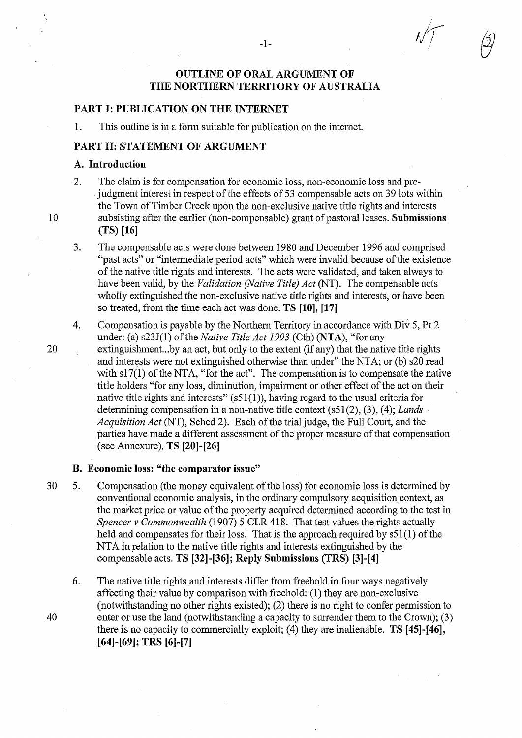# OUTLINE OF ORAL ARGUMENT OF THE NORTHERN TERRITORY OF AUSTRALIA

#### PART I: PUBLICATION ON THE INTERNET

1. This outline is in a form suitable for publication on the intemet.

# PART 11: STATEMENT OF ARGUMENT

#### A. Introduction

- 2. The claim is for compensation for economic loss, non-economic loss and prejudgment interest in respect of the effects of 53 compensable acts on 39 lots within the Town of Timber Creek upon the non-exclusive native title rights and interests 10 subsisting after the earlier (non-compensable) grant of pastoral leases. Submissions (TS) [16]
	- 3. The compensable acts were done between 1980 and December 1996 and comprised "past acts" or "intermediate period acts" which were invalid because of the existence of the native title rights and interests. The acts were validated, and taken always to have been valid, by the *Validation (Native Title) Act* (NT). The compensable acts wholly extinguished the non-exclusive native title rights and interests, or have been so treated, from the time each act was done. TS **[10],** [17]
	- 4. Compensation is payable by the Northern Territory in accordance with Div 5, Pt 2 under: (a) s23J(1) of the *Native Title Act 1993* (Cth) (NTA), "for any
- 20 extinguishment...by an act, but only to the extent (if any) that the native title rights and interests were not extinguished otherwise than under" the NTA; or (b) s20 read with s17(1) of the NTA, "for the act". The compensation is to compensate the native title holders "for any loss, diminution, impairment or other effect of the act on their native title rights and interests"  $(s51(1))$ , having regard to the usual criteria for determining compensation in a non-native title context (s51(2), (3), (4); *Lands* . *Acquisition Act* (NT), Sched 2). Each of the trial judge, the Full Court, and the parties have made a different assessment of the proper measure of that compensation (see Annexure). TS [20]-[26]

## **B.** Economic loss: "the comparator issue"

- 30 5. Compensation (the money equivalent of the loss) for economic loss is determined by conventional economic analysis, in the ordinary compulsory acquisition context, as the market price or value of the property acquired determined according to the test in *Spencer v Commonwealth* (1907) 5 CLR 418. That test values the rights actually held and compensates for their loss. That is the approach required by  $s51(1)$  of the NTA in relation to the native title rights and interests extinguished by the compensable acts. TS [32]-[36]; Reply Submissions (TRS) [3]-[4]
- 6. The native title rights and interests differ from freehold in four ways negatively affecting their value by comparison with freehold: (1) they are non-exclusive (notwithstanding no other rights existed); (2) there is no right to confer permission to 40 enter or use the land (notwithstanding a capacity to surrender them to the Crown); (3) there is no capacity to commercially exploit; (4) they are inalienable. TS [45]-[46], [64]-[69]; TRS [6]-[7]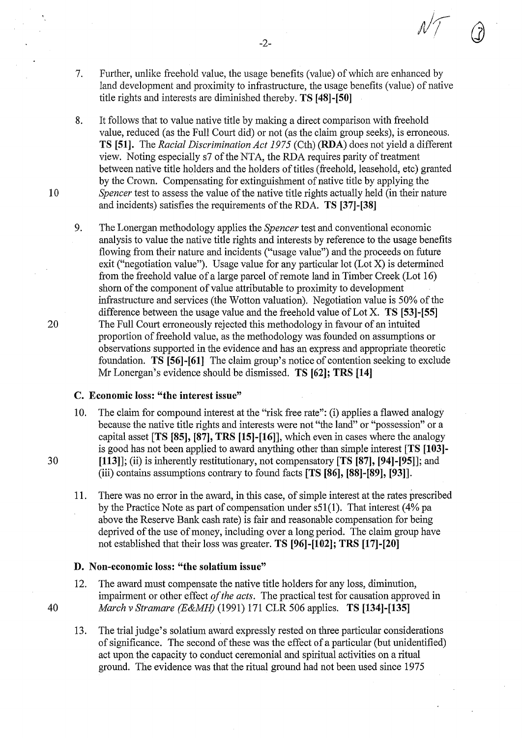- 7. Further, unlike freehold value, the usage benefits (value) of which are enhanced by land development and proximity to infrastructure, the usage benefits (value) of native title rights and interests are diminished thereby. **TS [48]-[50]**
- 8. It follows that to value native title by making a direct comparison with freehold value, reduced (as the Full Court did) or not (as the claim group seeks), is erroneous. **TS [51].** The *Racial Discrimination Act 1975* (Cth) **(RDA)** does not yield a different view. Noting especially s7 of the NTA, the RDA requires parity of treatment between native title holders and the holders of titles (freehold, leasehold, etc) granted by the Crown. Compensating for extinguishment of native title by applying the I 0 *Spencer* test to assess the value of the native title rights actually held (in their nature and incidents) satisfies the requirements of the RDA. **TS** [37]-[38]
- 9. The Lonergan methodology applies the *Spencer* test and conventional economic analysis to value the native title rights and interests by reference to the usage benefits flowing from their nature and incidents ("usage value") and the proceeds on future exit ("negotiation value"). Usage value for any particular lot (Lot X) is determined from the freehold value of a large parcel of remote land in Timber Creek (Lot 16) shorn of the component of value attributable to proximity to development infrastructure and services (the Wotton valuation). Negotiation value is 50% of the difference between the usage value and the freehold value of Lot X. **TS [53]-[55]**  20 The Full Court erroneously rejected this methodology in favour of an intuited proportion of freehold value, as the methodology was founded on assumptions or observations supported in the evidence and has an express and appropriate theoretic foundation. **TS [56]-[61]** The claim group's notice of contention seeking to exclude Mr Lonergan's evidence should be dismissed. **TS [62]; TRS [14]**

# **C. Economic loss: "the interest issue"**

- 10. The claim for compound interest at the "risk free rate": (i) applies a flawed analogy because the native title rights and interests were not "the land" or "possession" or a capital asset **[TS [85], [87], TRS [15]-[16]],** which even in cases where the analogy is good has not been applied to award anything other than simple interest **[TS [103]**-30 **[113]];** (ii) is inherently restitutionary, not compensatory **[TS [87], [94]-[95]];** and (iii) contains assumptions contrary to found facts **[TS [86], [88]-[89], [93]].** 
	- 11. There was no error in the award, in this case, of simple interest at the rates prescribed by the Practice Note as part of compensation under s51(1). That interest (4% pa above the Reserve Bank cash rate) is fair and reasonable compensation for being deprived of the use of money, including over a long period. The claim group have not established that their loss was greater. **TS [96]-[102]; TRS [17]-[20]**

# **D. Non-economic loss: "the solatium issue"**

- 12. The award must compensate the native title holders for any loss, diminution, impairment or other effect *of the acts.* The practical test for causation approved in 40 *March v Stramare (E&MH)* (1991) 171 CLR 506 applies. **TS [134]-[135]** 
	- 13. The trial judge's solatium award expressly rested on three particular considerations of significance. The second of these was the effect of a particular (but unidentified) act upon the capacity to conduct ceremonial and spiritual activities on a ritual ground. The evidence was that the ritual ground had not been used since 1975

-2-